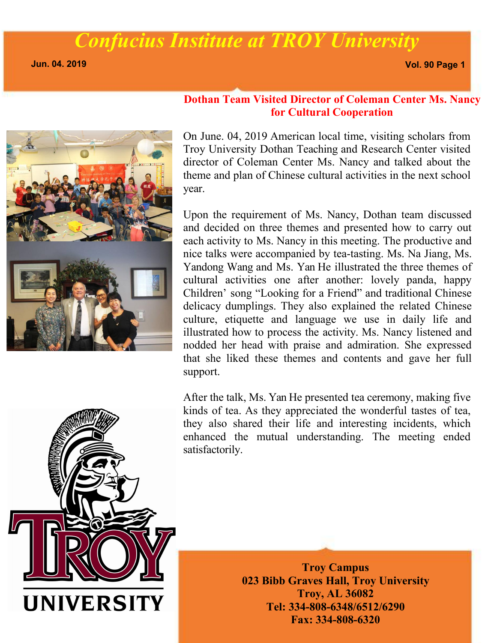**Jun. 04. 2019 Vol. 90 Page 1**



#### **Dothan Team Visited Director of Coleman Center Ms. Nancy for Cultural Cooperation**

On June. 04, 2019 American local time, visiting scholars from Troy University Dothan Teaching and Research Center visited director of Coleman Center Ms. Nancy and talked about the theme and plan of Chinese cultural activities in the next school year.

Upon the requirement of Ms. Nancy, Dothan team discussed and decided on three themes and presented how to carry out each activity to Ms. Nancy in this meeting. The productive and nice talks were accompanied by tea-tasting. Ms. Na Jiang, Ms. Yandong Wang and Ms. Yan He illustrated the three themes of cultural activities one after another: lovely panda, happy Children' song "Looking for a Friend" and traditional Chinese delicacy dumplings. They also explained the related Chinese culture, etiquette and language we use in daily life and illustrated how to process the activity. Ms. Nancy listened and nodded her head with praise and admiration. She expressed that she liked these themes and contents and gave her full support.

After the talk, Ms. Yan He presented tea ceremony, making five kinds of tea. As they appreciated the wonderful tastes of tea, they also shared their life and interesting incidents, which enhanced the mutual understanding. The meeting ended satisfactorily.



**Troy Campus 023 Bibb Graves Hall, Troy University Troy, AL 36082 Tel: 334-808-6348/6512/6290 Fax: 334-808-6320**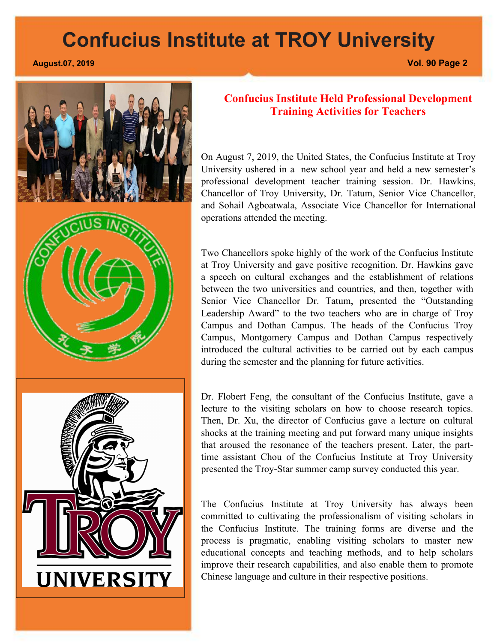**Confucius Institute Held Professional Development Training Activities for Teachers** On August 7, 2019, the United States, the Confucius Institute at Troy

University ushered in a new school year and held a new semester's professional development teacher training session. Dr. Hawkins, Chancellor of Troy University, Dr. Tatum, Senior Vice Chancellor, and Sohail Agboatwala, Associate Vice Chancellor for International operations attended the meeting.<br>Two Chancellors spoke highly of the work of the Confucius Institute

at Troy University and gave positive recognition. Dr. Hawkins gave a speech on cultural exchanges and the establishment of relations between the two universities and countries, and then, together with Senior Vice Chancellor Dr. Tatum, presented the "Outstanding Leadership Award" to the two teachers who are in charge of Troy Campus and Dothan Campus. The heads of the Confucius Troy Campus, Montgomery Campus and Dothan Campus respectively introduced the cultural activities to be carried out by each campus during the semester and the planning for future activities.

Dr. Flobert Feng, the consultant of the Confucius Institute, gave a lecture to the visiting scholars on how to choose research topics. Then, Dr. Xu, the director of Confucius gave a lecture on cultural shocks at the training meeting and put forward many unique insights that aroused the resonance of the teachers present. Later, the parttime assistant Chou of the Confucius Institute at Troy University presented the Troy-Star summer camp survey conducted this year.

The Confucius Institute at Troy University has always been committed to cultivating the professionalism of visiting scholars in the Confucius Institute. The training forms are diverse and the process is pragmatic, enabling visiting scholars to master new educational concepts and teaching methods, and to help scholars improve their research capabilities, and also enable them to promote Chinese language and culture in their respective positions.



#### **August.07, 2019 Vol. 90 Page 2**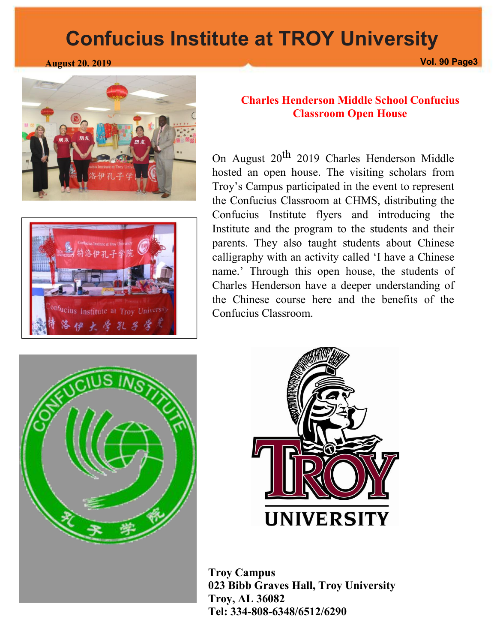





#### **Charles Henderson Middle School Confucius Classroom Open House**

On August 20<sup>th</sup> 2019 Charles Henderson Middle hosted an open house. The visiting scholars from Troy's Campus participated in the event to represent the Confucius Classroom at CHMS, distributing the Confucius Institute flyers and introducing the Institute and the program to the students and their parents. They also taught students about Chinese calligraphy with an activity called 'I have a Chinese name.' Through this open house, the students of Charles Henderson have a deeper understanding of the Chinese course here and the benefits of the Confucius Classroom.





**Troy Campus 023 Bibb Graves Hall, Troy University Troy, AL 36082 Tel: 334-808-6348/6512/6290**